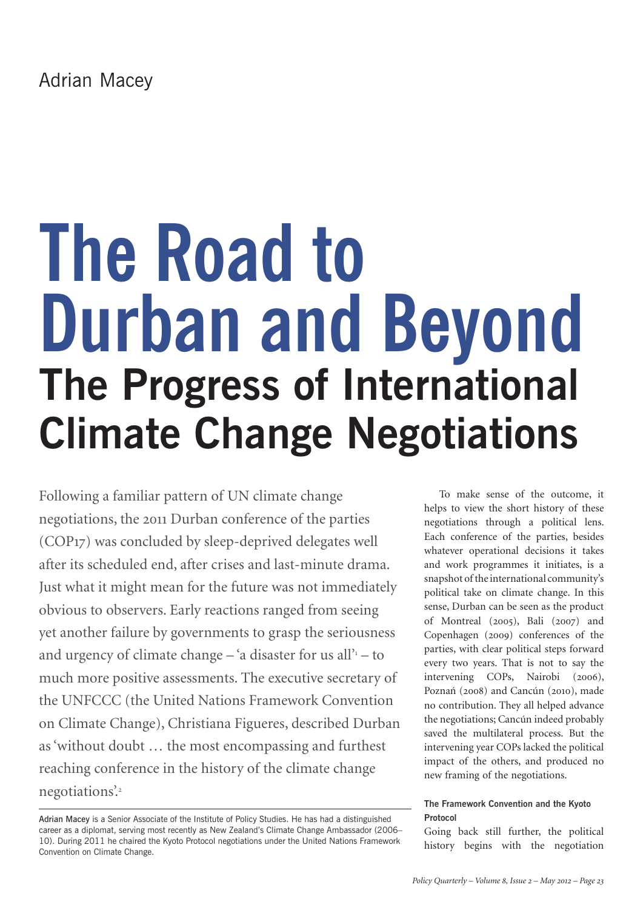# **The Road to Durban and Beyond The Progress of International Climate Change Negotiations**

Following a familiar pattern of UN climate change negotiations, the 2011 Durban conference of the parties (COP17) was concluded by sleep-deprived delegates well after its scheduled end, after crises and last-minute drama. Just what it might mean for the future was not immediately obvious to observers. Early reactions ranged from seeing yet another failure by governments to grasp the seriousness and urgency of climate change  $-$  'a disaster for us all' $1$  - to much more positive assessments. The executive secretary of the UNFCCC (the United Nations Framework Convention on Climate Change), Christiana Figueres, described Durban as 'without doubt … the most encompassing and furthest reaching conference in the history of the climate change negotiations.<sup>2</sup>

To make sense of the outcome, it helps to view the short history of these negotiations through a political lens. Each conference of the parties, besides whatever operational decisions it takes and work programmes it initiates, is a snapshot of the international community's political take on climate change. In this sense, Durban can be seen as the product of Montreal (2005), Bali (2007) and Copenhagen (2009) conferences of the parties, with clear political steps forward every two years. That is not to say the intervening COPs, Nairobi (2006), Poznań (2008) and Cancún (2010), made no contribution. They all helped advance the negotiations; Cancún indeed probably saved the multilateral process. But the intervening year COPs lacked the political impact of the others, and produced no new framing of the negotiations.

# **The Framework Convention and the Kyoto Protocol**

Going back still further, the political history begins with the negotiation

Adrian Macey is a Senior Associate of the Institute of Policy Studies. He has had a distinguished career as a diplomat, serving most recently as New Zealand's Climate Change Ambassador (2006– 10). During 2011 he chaired the Kyoto Protocol negotiations under the United Nations Framework Convention on Climate Change.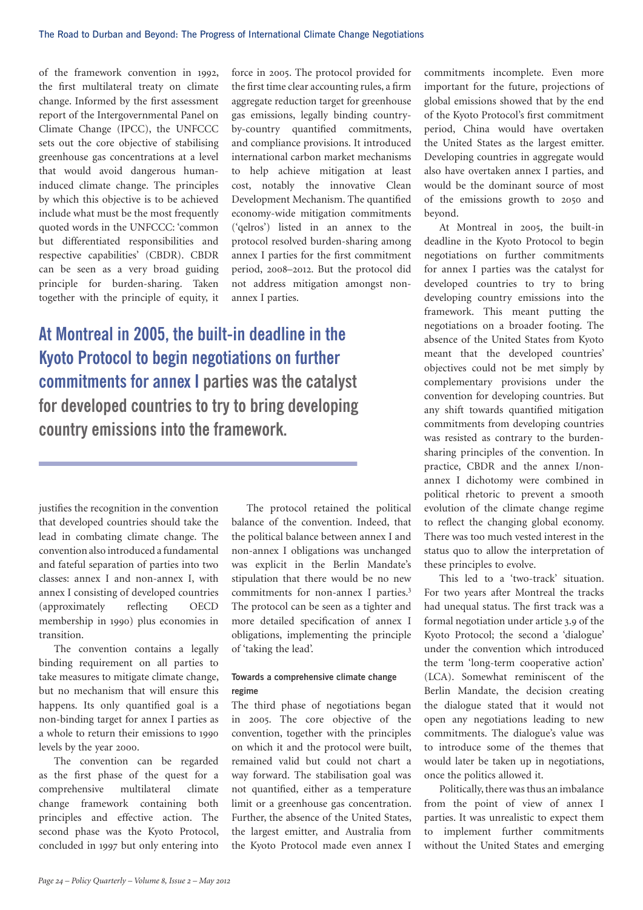of the framework convention in 1992, the first multilateral treaty on climate change. Informed by the first assessment report of the Intergovernmental Panel on Climate Change (IPCC), the UNFCCC sets out the core objective of stabilising greenhouse gas concentrations at a level that would avoid dangerous humaninduced climate change. The principles by which this objective is to be achieved include what must be the most frequently quoted words in the UNFCCC: 'common but differentiated responsibilities and respective capabilities' (CBDR). CBDR can be seen as a very broad guiding principle for burden-sharing. Taken together with the principle of equity, it

force in 2005. The protocol provided for the first time clear accounting rules, a firm aggregate reduction target for greenhouse gas emissions, legally binding countryby-country quantified commitments, and compliance provisions. It introduced international carbon market mechanisms to help achieve mitigation at least cost, notably the innovative Clean Development Mechanism. The quantified economy-wide mitigation commitments ('qelros') listed in an annex to the protocol resolved burden-sharing among annex I parties for the first commitment period, 2008–2012. But the protocol did not address mitigation amongst nonannex I parties.

**At Montreal in 2005, the built-in deadline in the Kyoto Protocol to begin negotiations on further commitments for annex I parties was the catalyst for developed countries to try to bring developing country emissions into the framework.**

justifies the recognition in the convention that developed countries should take the lead in combating climate change. The convention also introduced a fundamental and fateful separation of parties into two classes: annex I and non-annex I, with annex I consisting of developed countries (approximately reflecting OECD membership in 1990) plus economies in transition.

The convention contains a legally binding requirement on all parties to take measures to mitigate climate change, but no mechanism that will ensure this happens. Its only quantified goal is a non-binding target for annex I parties as a whole to return their emissions to 1990 levels by the year 2000.

The convention can be regarded as the first phase of the quest for a comprehensive multilateral climate change framework containing both principles and effective action. The second phase was the Kyoto Protocol, concluded in 1997 but only entering into

The protocol retained the political balance of the convention. Indeed, that the political balance between annex I and non-annex I obligations was unchanged was explicit in the Berlin Mandate's stipulation that there would be no new commitments for non-annex I parties.<sup>3</sup> The protocol can be seen as a tighter and more detailed specification of annex I obligations, implementing the principle of 'taking the lead'.

## **Towards a comprehensive climate change regime**

The third phase of negotiations began in 2005. The core objective of the convention, together with the principles on which it and the protocol were built, remained valid but could not chart a way forward. The stabilisation goal was not quantified, either as a temperature limit or a greenhouse gas concentration. Further, the absence of the United States, the largest emitter, and Australia from the Kyoto Protocol made even annex I

commitments incomplete. Even more important for the future, projections of global emissions showed that by the end of the Kyoto Protocol's first commitment period, China would have overtaken the United States as the largest emitter. Developing countries in aggregate would also have overtaken annex I parties, and would be the dominant source of most of the emissions growth to 2050 and beyond.

At Montreal in 2005, the built-in deadline in the Kyoto Protocol to begin negotiations on further commitments for annex I parties was the catalyst for developed countries to try to bring developing country emissions into the framework. This meant putting the negotiations on a broader footing. The absence of the United States from Kyoto meant that the developed countries' objectives could not be met simply by complementary provisions under the convention for developing countries. But any shift towards quantified mitigation commitments from developing countries was resisted as contrary to the burdensharing principles of the convention. In practice, CBDR and the annex I/nonannex I dichotomy were combined in political rhetoric to prevent a smooth evolution of the climate change regime to reflect the changing global economy. There was too much vested interest in the status quo to allow the interpretation of these principles to evolve.

This led to a 'two-track' situation. For two years after Montreal the tracks had unequal status. The first track was a formal negotiation under article 3.9 of the Kyoto Protocol; the second a 'dialogue' under the convention which introduced the term 'long-term cooperative action' (LCA). Somewhat reminiscent of the Berlin Mandate, the decision creating the dialogue stated that it would not open any negotiations leading to new commitments. The dialogue's value was to introduce some of the themes that would later be taken up in negotiations, once the politics allowed it.

Politically, there was thus an imbalance from the point of view of annex I parties. It was unrealistic to expect them to implement further commitments without the United States and emerging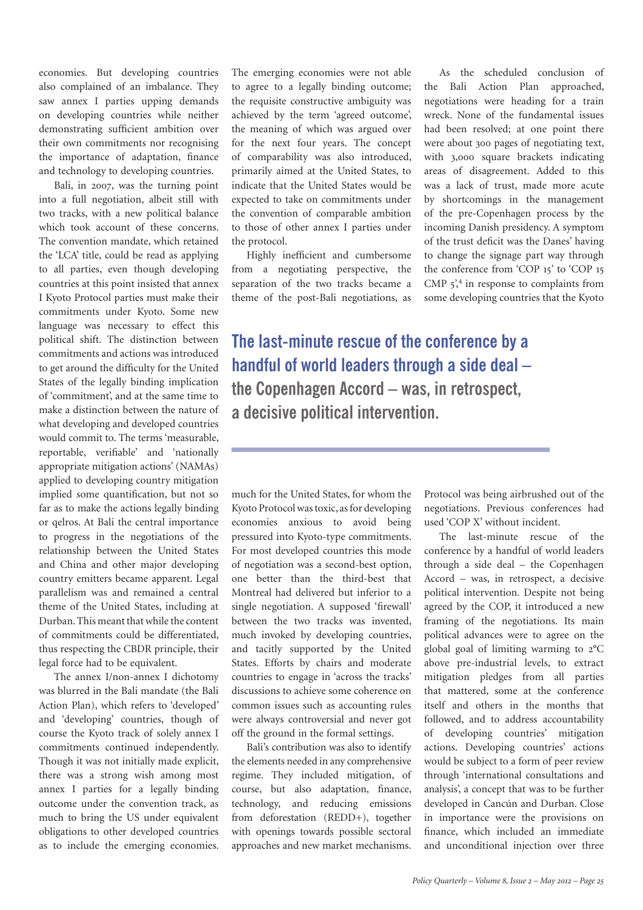economies. But developing countries also complained of an imbalance. They saw annex I parties upping demands on developing countries while neither demonstrating sufficient ambition over their own commitments nor recognising the importance of adaptation, finance and technology to developing countries.

Bali, in 2007, was the turning point into a full negotiation, albeit still with two tracks, with a new political balance which took account of these concerns. The convention mandate, which retained the 'LCA' title, could be read as applying to all parties, even though developing countries at this point insisted that annex I Kyoto Protocol parties must make their commitments under Kyoto. Some new language was necessary to effect this political shift. The distinction between commitments and actions was introduced to get around the difficulty for the United States of the legally binding implication of 'commitment', and at the same time to make a distinction between the nature of what developing and developed countries would commit to. The terms 'measurable, reportable, verifiable' and 'nationally appropriate mitigation actions' (NAMAs) applied to developing country mitigation implied some quantification, but not so far as to make the actions legally binding or qelros. At Bali the central importance to progress in the negotiations of the relationship between the United States and China and other major developing country emitters became apparent. Legal parallelism was and remained a central theme of the United States, including at Durban. This meant that while the content of commitments could be differentiated, thus respecting the CBDR principle, their legal force had to be equivalent.

The annex I/non-annex I dichotomy was blurred in the Bali mandate (the Bali Action Plan), which refers to 'developed' and 'developing' countries, though of course the Kyoto track of solely annex I commitments continued independently. Though it was not initially made explicit, there was a strong wish among most annex I parties for a legally binding outcome under the convention track, as much to bring the US under equivalent obligations to other developed countries as to include the emerging economies.

The emerging economies were not able to agree to a legally binding outcome; the requisite constructive ambiguity was achieved by the term 'agreed outcome', the meaning of which was argued over for the next four years. The concept of comparability was also introduced, primarily aimed at the United States, to indicate that the United States would be expected to take on commitments under the convention of comparable ambition to those of other annex I parties under the protocol.

Highly inefficient and cumbersome from a negotiating perspective, the separation of the two tracks became a theme of the post-Bali negotiations, as

As the scheduled conclusion of the Bali Action Plan approached, negotiations were heading for a train wreck. None of the fundamental issues had been resolved; at one point there were about 300 pages of negotiating text, with 3,000 square brackets indicating areas of disagreement. Added to this was a lack of trust, made more acute by shortcomings in the management of the pre-Copenhagen process by the incoming Danish presidency. A symptom of the trust deficit was the Danes' having to change the signage part way through the conference from 'COP 15' to 'COP 15 CMP  $5$ <sup>4</sup>, in response to complaints from some developing countries that the Kyoto

**The last-minute rescue of the conference by a handful of world leaders through a side deal – the Copenhagen Accord – was, in retrospect, a decisive political intervention.** 

much for the United States, for whom the Kyoto Protocol was toxic, as for developing economies anxious to avoid being pressured into Kyoto-type commitments. For most developed countries this mode of negotiation was a second-best option, one better than the third-best that Montreal had delivered but inferior to a single negotiation. A supposed 'firewall' between the two tracks was invented, much invoked by developing countries, and tacitly supported by the United States. Efforts by chairs and moderate countries to engage in 'across the tracks' discussions to achieve some coherence on common issues such as accounting rules were always controversial and never got off the ground in the formal settings.

Bali's contribution was also to identify the elements needed in any comprehensive regime. They included mitigation, of course, but also adaptation, finance, technology, and reducing emissions from deforestation (REDD+), together with openings towards possible sectoral approaches and new market mechanisms.

Protocol was being airbrushed out of the negotiations. Previous conferences had used 'COP X' without incident.

The last-minute rescue of the conference by a handful of world leaders through a side deal – the Copenhagen Accord – was, in retrospect, a decisive political intervention. Despite not being agreed by the COP, it introduced a new framing of the negotiations. Its main political advances were to agree on the global goal of limiting warming to 2°C above pre-industrial levels, to extract mitigation pledges from all parties that mattered, some at the conference itself and others in the months that followed, and to address accountability of developing countries' mitigation actions. Developing countries' actions would be subject to a form of peer review through 'international consultations and analysis', a concept that was to be further developed in Cancún and Durban. Close in importance were the provisions on finance, which included an immediate and unconditional injection over three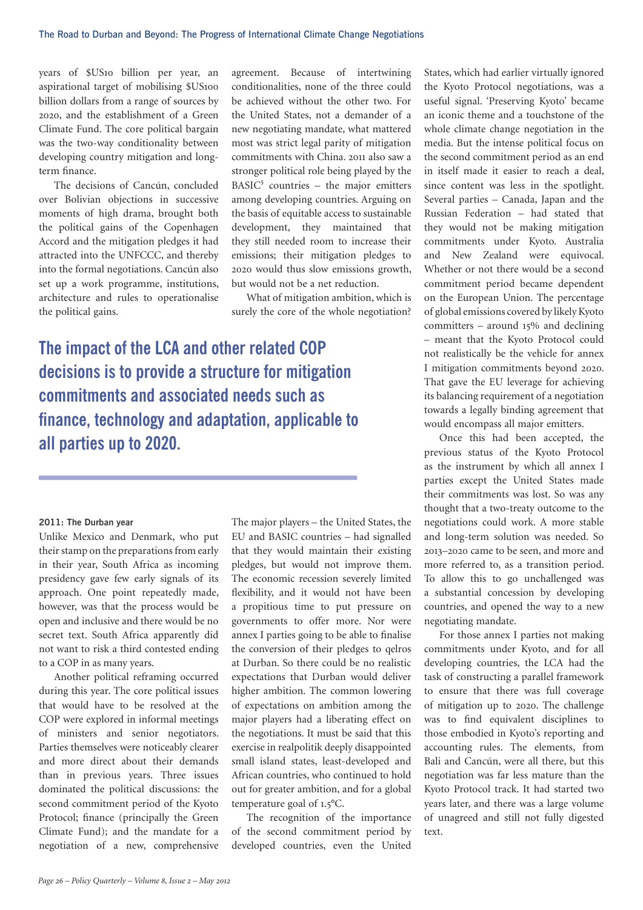years of \$US10 billion per year, an aspirational target of mobilising \$US100 billion dollars from a range of sources by 2020, and the establishment of a Green Climate Fund. The core political bargain was the two-way conditionality between developing country mitigation and longterm finance.

The decisions of Cancún, concluded over Bolivian objections in successive moments of high drama, brought both the political gains of the Copenhagen Accord and the mitigation pledges it had attracted into the UNFCCC, and thereby into the formal negotiations. Cancún also set up a work programme, institutions, architecture and rules to operationalise the political gains.

agreement. Because of intertwining conditionalities, none of the three could be achieved without the other two. For the United States, not a demander of a new negotiating mandate, what mattered most was strict legal parity of mitigation commitments with China. 2011 also saw a stronger political role being played by the BASIC<sup>5</sup> countries – the major emitters among developing countries. Arguing on the basis of equitable access to sustainable development, they maintained that they still needed room to increase their emissions; their mitigation pledges to 2020 would thus slow emissions growth, but would not be a net reduction.

What of mitigation ambition, which is surely the core of the whole negotiation?

**The impact of the LCA and other related COP decisions is to provide a structure for mitigation commitments and associated needs such as finance, technology and adaptation, applicable to all parties up to 2020.**

### **2011: The Durban year**

Unlike Mexico and Denmark, who put their stamp on the preparations from early in their year, South Africa as incoming presidency gave few early signals of its approach. One point repeatedly made, however, was that the process would be open and inclusive and there would be no secret text. South Africa apparently did not want to risk a third contested ending to a COP in as many years.

Another political reframing occurred during this year. The core political issues that would have to be resolved at the COP were explored in informal meetings of ministers and senior negotiators. Parties themselves were noticeably clearer and more direct about their demands than in previous years. Three issues dominated the political discussions: the second commitment period of the Kyoto Protocol; finance (principally the Green Climate Fund); and the mandate for a negotiation of a new, comprehensive

The major players – the United States, the EU and BASIC countries – had signalled that they would maintain their existing pledges, but would not improve them. The economic recession severely limited flexibility, and it would not have been a propitious time to put pressure on governments to offer more. Nor were annex I parties going to be able to finalise the conversion of their pledges to qelros at Durban. So there could be no realistic expectations that Durban would deliver higher ambition. The common lowering of expectations on ambition among the major players had a liberating effect on the negotiations. It must be said that this exercise in realpolitik deeply disappointed small island states, least-developed and African countries, who continued to hold out for greater ambition, and for a global temperature goal of 1.5°C.

The recognition of the importance of the second commitment period by developed countries, even the United

States, which had earlier virtually ignored the Kyoto Protocol negotiations, was a useful signal. 'Preserving Kyoto' became an iconic theme and a touchstone of the whole climate change negotiation in the media. But the intense political focus on the second commitment period as an end in itself made it easier to reach a deal, since content was less in the spotlight. Several parties – Canada, Japan and the Russian Federation – had stated that they would not be making mitigation commitments under Kyoto. Australia and New Zealand were equivocal. Whether or not there would be a second commitment period became dependent on the European Union. The percentage of global emissions covered by likely Kyoto committers – around 15% and declining – meant that the Kyoto Protocol could not realistically be the vehicle for annex I mitigation commitments beyond 2020. That gave the EU leverage for achieving its balancing requirement of a negotiation towards a legally binding agreement that would encompass all major emitters.

Once this had been accepted, the previous status of the Kyoto Protocol as the instrument by which all annex I parties except the United States made their commitments was lost. So was any thought that a two-treaty outcome to the negotiations could work. A more stable and long-term solution was needed. So 2013–2020 came to be seen, and more and more referred to, as a transition period. To allow this to go unchallenged was a substantial concession by developing countries, and opened the way to a new negotiating mandate.

For those annex I parties not making commitments under Kyoto, and for all developing countries, the LCA had the task of constructing a parallel framework to ensure that there was full coverage of mitigation up to 2020. The challenge was to find equivalent disciplines to those embodied in Kyoto's reporting and accounting rules. The elements, from Bali and Cancún, were all there, but this negotiation was far less mature than the Kyoto Protocol track. It had started two years later, and there was a large volume of unagreed and still not fully digested text.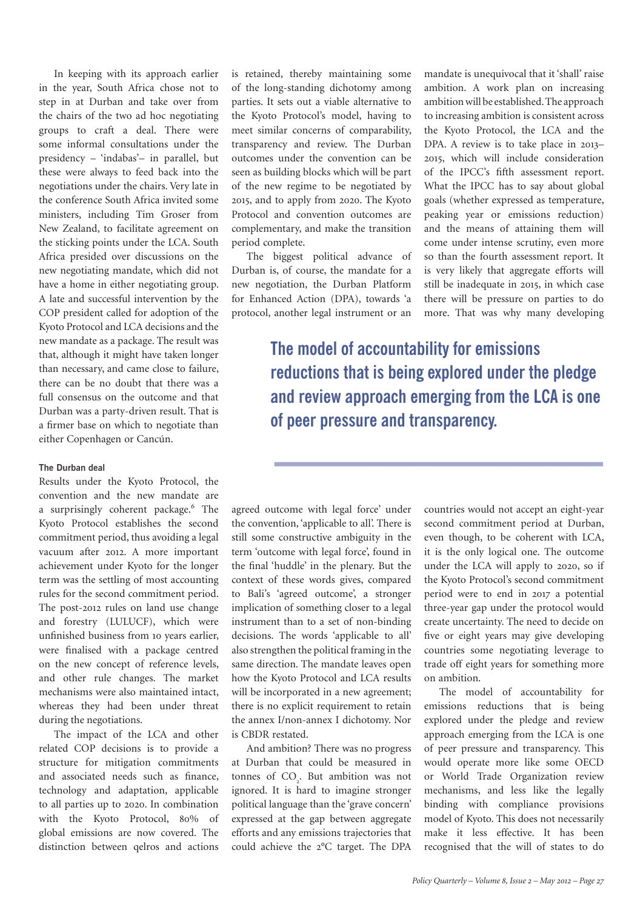In keeping with its approach earlier in the year, South Africa chose not to step in at Durban and take over from the chairs of the two ad hoc negotiating groups to craft a deal. There were some informal consultations under the presidency – 'indabas'– in parallel, but these were always to feed back into the negotiations under the chairs. Very late in the conference South Africa invited some ministers, including Tim Groser from New Zealand, to facilitate agreement on the sticking points under the LCA. South Africa presided over discussions on the new negotiating mandate, which did not have a home in either negotiating group. A late and successful intervention by the COP president called for adoption of the Kyoto Protocol and LCA decisions and the new mandate as a package. The result was that, although it might have taken longer than necessary, and came close to failure, there can be no doubt that there was a full consensus on the outcome and that Durban was a party-driven result. That is a firmer base on which to negotiate than either Copenhagen or Cancún.

### **The Durban deal**

Results under the Kyoto Protocol, the convention and the new mandate are a surprisingly coherent package.<sup>6</sup> The Kyoto Protocol establishes the second commitment period, thus avoiding a legal vacuum after 2012. A more important achievement under Kyoto for the longer term was the settling of most accounting rules for the second commitment period. The post-2012 rules on land use change and forestry (LULUCF), which were unfinished business from 10 years earlier, were finalised with a package centred on the new concept of reference levels, and other rule changes. The market mechanisms were also maintained intact, whereas they had been under threat during the negotiations.

The impact of the LCA and other related COP decisions is to provide a structure for mitigation commitments and associated needs such as finance, technology and adaptation, applicable to all parties up to 2020. In combination with the Kyoto Protocol, 80% of global emissions are now covered. The distinction between qelros and actions

is retained, thereby maintaining some of the long-standing dichotomy among parties. It sets out a viable alternative to the Kyoto Protocol's model, having to meet similar concerns of comparability, transparency and review. The Durban outcomes under the convention can be seen as building blocks which will be part of the new regime to be negotiated by 2015, and to apply from 2020. The Kyoto Protocol and convention outcomes are complementary, and make the transition period complete.

The biggest political advance of Durban is, of course, the mandate for a new negotiation, the Durban Platform for Enhanced Action (DPA), towards 'a protocol, another legal instrument or an

mandate is unequivocal that it 'shall' raise ambition. A work plan on increasing ambition will be established. The approach to increasing ambition is consistent across the Kyoto Protocol, the LCA and the DPA. A review is to take place in 2013– 2015, which will include consideration of the IPCC's fifth assessment report. What the IPCC has to say about global goals (whether expressed as temperature, peaking year or emissions reduction) and the means of attaining them will come under intense scrutiny, even more so than the fourth assessment report. It is very likely that aggregate efforts will still be inadequate in 2015, in which case there will be pressure on parties to do more. That was why many developing

**The model of accountability for emissions reductions that is being explored under the pledge and review approach emerging from the LCA is one of peer pressure and transparency.**

agreed outcome with legal force' under the convention, 'applicable to all'. There is still some constructive ambiguity in the term 'outcome with legal force', found in the final 'huddle' in the plenary. But the context of these words gives, compared to Bali's 'agreed outcome', a stronger implication of something closer to a legal instrument than to a set of non-binding decisions. The words 'applicable to all' also strengthen the political framing in the same direction. The mandate leaves open how the Kyoto Protocol and LCA results will be incorporated in a new agreement; there is no explicit requirement to retain the annex I/non-annex I dichotomy. Nor is CBDR restated.

And ambition? There was no progress at Durban that could be measured in tonnes of  $CO<sub>2</sub>$ . But ambition was not ignored. It is hard to imagine stronger political language than the 'grave concern' expressed at the gap between aggregate efforts and any emissions trajectories that could achieve the 2°C target. The DPA

countries would not accept an eight-year second commitment period at Durban, even though, to be coherent with LCA, it is the only logical one. The outcome under the LCA will apply to 2020, so if the Kyoto Protocol's second commitment period were to end in 2017 a potential three-year gap under the protocol would create uncertainty. The need to decide on five or eight years may give developing countries some negotiating leverage to trade off eight years for something more on ambition.

The model of accountability for emissions reductions that is being explored under the pledge and review approach emerging from the LCA is one of peer pressure and transparency. This would operate more like some OECD or World Trade Organization review mechanisms, and less like the legally binding with compliance provisions model of Kyoto. This does not necessarily make it less effective. It has been recognised that the will of states to do